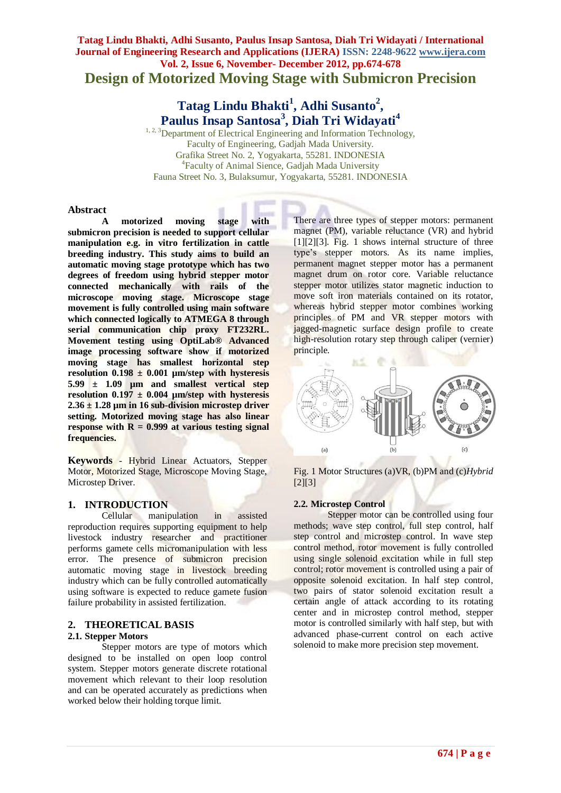## **Tatag Lindu Bhakti, Adhi Susanto, Paulus Insap Santosa, Diah Tri Widayati / International Journal of Engineering Research and Applications (IJERA) ISSN: 2248-9622 www.ijera.com Vol. 2, Issue 6, November- December 2012, pp.674-678 Design of Motorized Moving Stage with Submicron Precision**

## **Tatag Lindu Bhakti<sup>1</sup> , Adhi Susanto<sup>2</sup> , Paulus Insap Santosa<sup>3</sup> , Diah Tri Widayati<sup>4</sup>**

 $1, 2, 3$ Department of Electrical Engineering and Information Technology, Faculty of Engineering, Gadjah Mada University. Grafika Street No. 2, Yogyakarta, 55281. INDONESIA 4 Faculty of Animal Sience, Gadjah Mada University Fauna Street No. 3, Bulaksumur, Yogyakarta, 55281. INDONESIA

#### **Abstract**

**A motorized moving stage with submicron precision is needed to support cellular manipulation e.g. in vitro fertilization in cattle breeding industry. This study aims to build an automatic moving stage prototype which has two degrees of freedom using hybrid stepper motor connected mechanically with rails of the microscope moving stage. Microscope stage movement is fully controlled using main software which connected logically to ATMEGA 8 through serial communication chip proxy FT232RL. Movement testing using OptiLab® Advanced image processing software show if motorized moving stage has smallest horizontal step resolution 0.198 ± 0.001 µm/step with hysteresis 5.99 ± 1.09 µm and smallest vertical step resolution 0.197 ± 0.004 µm/step with hysteresis 2.36 ± 1.28 µm in 16 sub-division microstep driver setting. Motorized moving stage has also linear response with**  $R = 0.999$  **at various testing signal frequencies.**

**Keywords** - Hybrid Linear Actuators, Stepper Motor, Motorized Stage, Microscope Moving Stage, Microstep Driver.

#### **1. INTRODUCTION**

Cellular manipulation in assisted reproduction requires supporting equipment to help livestock industry researcher and practitioner performs gamete cells micromanipulation with less error. The presence of submicron precision automatic moving stage in livestock breeding industry which can be fully controlled automatically using software is expected to reduce gamete fusion failure probability in assisted fertilization.

# **2. THEORETICAL BASIS**

## **2.1. Stepper Motors**

Stepper motors are type of motors which designed to be installed on open loop control system. Stepper motors generate discrete rotational movement which relevant to their loop resolution and can be operated accurately as predictions when worked below their holding torque limit.

There are three types of stepper motors: permanent magnet (PM), variable reluctance (VR) and hybrid [1][2][3]. Fig. 1 shows internal structure of three type's stepper motors. As its name implies, permanent magnet stepper motor has a permanent magnet drum on rotor core. Variable reluctance stepper motor utilizes stator magnetic induction to move soft iron materials contained on its rotator, whereas hybrid stepper motor combines working principles of PM and VR stepper motors with jagged-magnetic surface design profile to create high-resolution rotary step through caliper (vernier) principle.



Fig. 1 Motor Structures (a)VR, (b)PM and (c)*Hybrid*  $[2][3]$ 

#### **2.2. Microstep Control**

Stepper motor can be controlled using four methods; wave step control, full step control, half step control and microstep control. In wave step control method, rotor movement is fully controlled using single solenoid excitation while in full step control; rotor movement is controlled using a pair of opposite solenoid excitation. In half step control, two pairs of stator solenoid excitation result a certain angle of attack according to its rotating center and in microstep control method, stepper motor is controlled similarly with half step, but with advanced phase-current control on each active solenoid to make more precision step movement.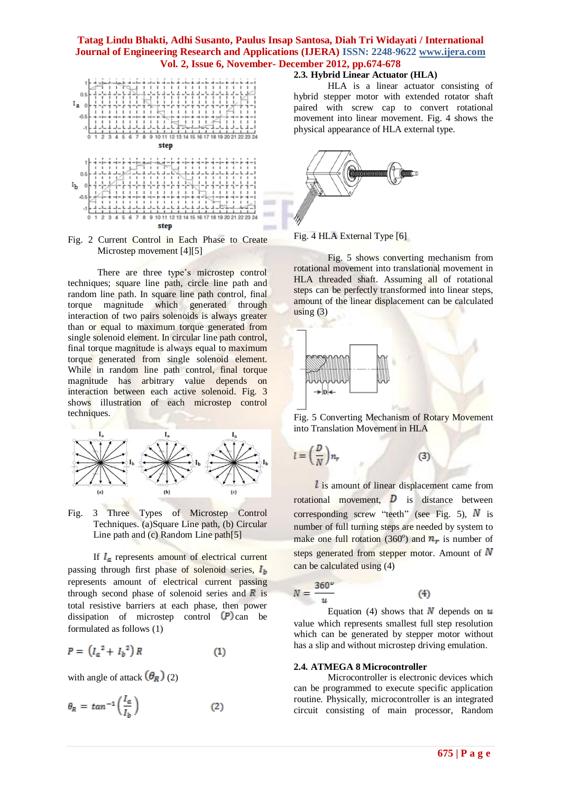

Fig. 2 Current Control in Each Phase to Create Microstep movement [4][5]

There are three type's microstep control techniques; square line path, circle line path and random line path. In square line path control, final torque magnitude which generated through interaction of two pairs solenoids is always greater than or equal to maximum torque generated from single solenoid element. In circular line path control, final torque magnitude is always equal to maximum torque generated from single solenoid element. While in random line path control, final torque magnitude has arbitrary value depends on interaction between each active solenoid. Fig. 3 shows illustration of each microstep control techniques.



Fig. 3 Three Types of Microstep Control Techniques. (a)Square Line path, (b) Circular Line path and (c) Random Line path[5]

If  $I_a$  represents amount of electrical current passing through first phase of solenoid series,  $I_b$ represents amount of electrical current passing through second phase of solenoid series and  $\overline{R}$  is total resistive barriers at each phase, then power dissipation of microstep control  $(P)$  can be formulated as follows (1)

$$
P = \left(I_a^2 + I_b^2\right)R\tag{1}
$$

with angle of attack  $(\theta_R)$  (2)

$$
\theta_R = \tan^{-1}\left(\frac{I_a}{I_b}\right) \tag{2}
$$

#### **2.3. Hybrid Linear Actuator (HLA)**

HLA is a linear actuator consisting of hybrid stepper motor with extended rotator shaft paired with screw cap to convert rotational movement into linear movement. Fig. 4 shows the physical appearance of HLA external type.



Fig. 4 HLA External Type [6]

Fig. 5 shows converting mechanism from rotational movement into translational movement in HLA threaded shaft. Assuming all of rotational steps can be perfectly transformed into linear steps, amount of the linear displacement can be calculated using  $(3)$ 



Fig. 5 Converting Mechanism of Rotary Movement into Translation Movement in HLA

$$
= \left(\frac{D}{N}\right)n_r \tag{3}
$$

 $\iota$  is amount of linear displacement came from rotational movement,  $\overline{D}$  is distance between corresponding screw "teeth" (see Fig. 5),  $\vec{N}$  is number of full turning steps are needed by system to make one full rotation (360°) and  $n_r$  is number of steps generated from stepper motor. Amount of  $N$ can be calculated using (4)

$$
N = \frac{360^{\circ}}{u}
$$
 (4)

Equation (4) shows that  $N$  depends on  $u$ value which represents smallest full step resolution which can be generated by stepper motor without has a slip and without microstep driving emulation.

#### **2.4. ATMEGA 8 Microcontroller**

Microcontroller is electronic devices which can be programmed to execute specific application routine. Physically, microcontroller is an integrated circuit consisting of main processor, Random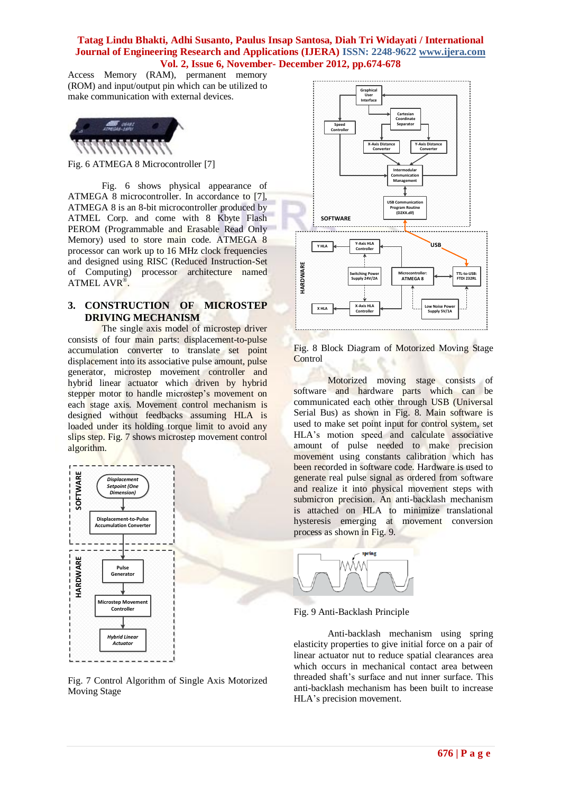Access Memory (RAM), permanent memory (ROM) and input/output pin which can be utilized to make communication with external devices.



Fig. 6 ATMEGA 8 Microcontroller [7]

Fig. 6 shows physical appearance of ATMEGA 8 microcontroller. In accordance to [7], ATMEGA 8 is an 8-bit microcontroller produced by ATMEL Corp. and come with 8 Kbyte Flash PEROM (Programmable and Erasable Read Only Memory) used to store main code. ATMEGA 8 processor can work up to 16 MHz clock frequencies and designed using RISC (Reduced Instruction-Set of Computing) processor architecture named ATMEL AVR<sup>®</sup>.

## **3. CONSTRUCTION OF MICROSTEP DRIVING MECHANISM**

The single axis model of microstep driver consists of four main parts: displacement-to-pulse accumulation converter to translate set point displacement into its associative pulse amount, pulse generator, microstep movement controller and hybrid linear actuator which driven by hybrid stepper motor to handle microstep's movement on each stage axis. Movement control mechanism is designed without feedbacks assuming HLA is loaded under its holding torque limit to avoid any slips step. Fig. 7 shows microstep movement control algorithm.



Fig. 7 Control Algorithm of Single Axis Motorized Moving Stage



Fig. 8 Block Diagram of Motorized Moving Stage **Control** 

Motorized moving stage consists of software and hardware parts which can be communicated each other through USB (Universal Serial Bus) as shown in Fig. 8. Main software is used to make set point input for control system, set HLA's motion speed and calculate associative amount of pulse needed to make precision movement using constants calibration which has been recorded in software code. Hardware is used to generate real pulse signal as ordered from software and realize it into physical movement steps with submicron precision. An anti-backlash mechanism is attached on HLA to minimize translational hysteresis emerging at movement conversion process as shown in Fig. 9.



Fig. 9 Anti-Backlash Principle

Anti-backlash mechanism using spring elasticity properties to give initial force on a pair of linear actuator nut to reduce spatial clearances area which occurs in mechanical contact area between threaded shaft's surface and nut inner surface. This anti-backlash mechanism has been built to increase HLA's precision movement.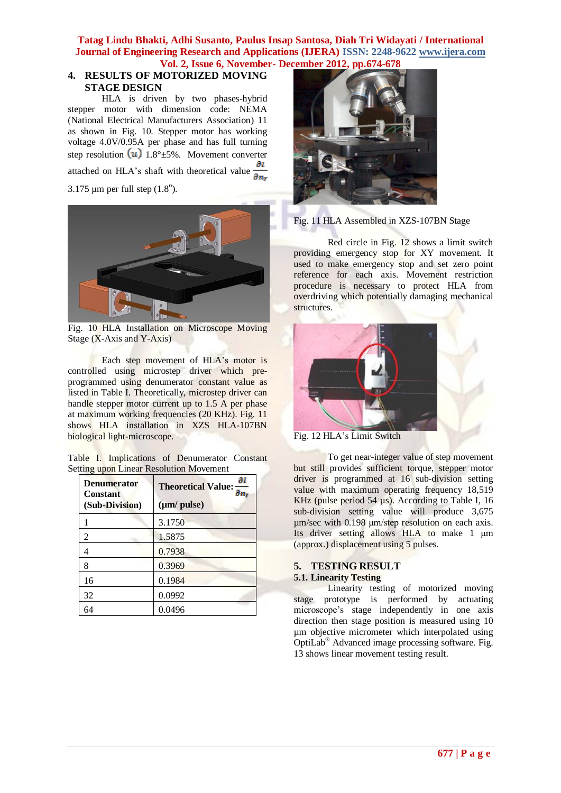## **4. RESULTS OF MOTORIZED MOVING STAGE DESIGN**

HLA is driven by two phases-hybrid stepper motor with dimension code: NEMA (National Electrical Manufacturers Association) 11 as shown in Fig. 10. Stepper motor has working voltage 4.0V/0.95A per phase and has full turning step resolution  $(u)$  1.8° $\pm$ 5%. Movement converter attached on HLA's shaft with theoretical value  $\frac{du}{dm}$ 3.175 µm per full step  $(1.8^{\circ})$ .



Fig. 10 HLA Installation on Microscope Moving Stage (X-Axis and Y-Axis)

Each step movement of HLA's motor is controlled using microstep driver which preprogrammed using denumerator constant value as listed in Table I. Theoretically, microstep driver can handle stepper motor current up to 1.5 A per phase at maximum working frequencies (20 KHz). Fig. 11 shows HLA installation in XZS HLA-107BN biological light-microscope.

|                                                |  |  |  | Table I. Implications of Denumerator Constant |  |  |
|------------------------------------------------|--|--|--|-----------------------------------------------|--|--|
| <b>Setting upon Linear Resolution Movement</b> |  |  |  |                                               |  |  |

| <b>Denumerator</b><br><b>Constant</b><br>(Sub-Division) | дl<br><b>Theoretical Value:</b><br>$\partial n_r$<br>(µm/ pulse) |
|---------------------------------------------------------|------------------------------------------------------------------|
|                                                         | 3.1750                                                           |
| $\overline{2}$                                          | 1.5875                                                           |
| 4                                                       | 0.7938                                                           |
| 8                                                       | 0.3969                                                           |
| 16                                                      | 0.1984                                                           |
| 32                                                      | 0.0992                                                           |
| 64                                                      | 0.0496                                                           |



Fig. 11 HLA Assembled in XZS-107BN Stage

Red circle in Fig. 12 shows a limit switch providing emergency stop for XY movement. It used to make emergency stop and set zero point reference for each axis. Movement restriction procedure is necessary to protect HLA from overdriving which potentially damaging mechanical structures.



Fig. 12 HLA's Limit Switch

To get near-integer value of step movement but still provides sufficient torque, stepper motor driver is programmed at 16 sub-division setting value with maximum operating frequency 18,519 KHz (pulse period 54 µs). According to Table I, 16 sub-division setting value will produce 3,675 µm/sec with 0.198 μm/step resolution on each axis. Its driver setting allows HLA to make 1 μm (approx.) displacement using 5 pulses.

## **5. TESTING RESULT 5.1. Linearity Testing**

Linearity testing of motorized moving stage prototype is performed by actuating microscope's stage independently in one axis direction then stage position is measured using 10 µm objective micrometer which interpolated using OptiLab® Advanced image processing software. Fig. 13 shows linear movement testing result.